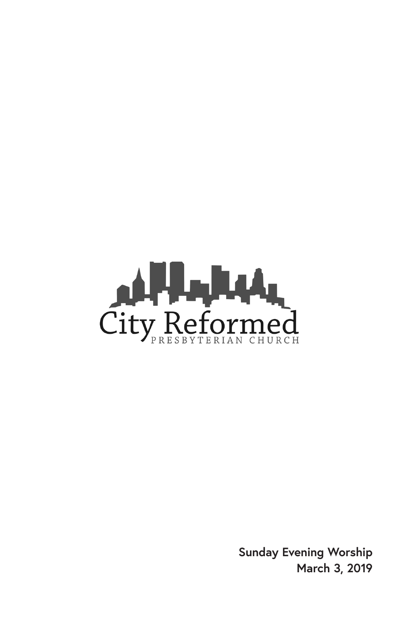

**Sunday Evening Worship March 3, 2019**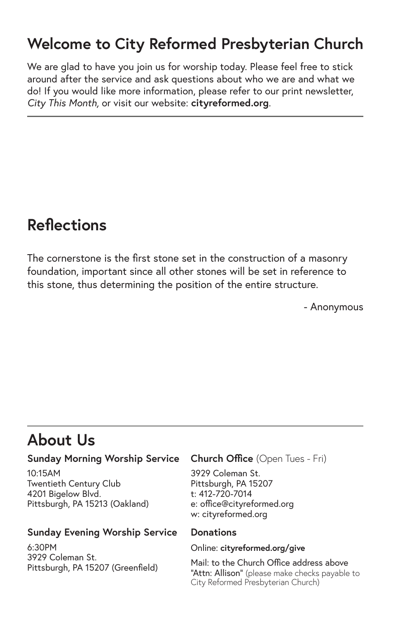### **Welcome to City Reformed Presbyterian Church**

We are glad to have you join us for worship today. Please feel free to stick around after the service and ask questions about who we are and what we do! If you would like more information, please refer to our print newsletter, *City This Month,* or visit our website: **cityreformed.org**.

#### **Reflections**

The cornerstone is the first stone set in the construction of a masonry foundation, important since all other stones will be set in reference to this stone, thus determining the position of the entire structure.

- Anonymous

### **About Us**

#### **Sunday Morning Worship Service**

10:15AM Twentieth Century Club 4201 Bigelow Blvd. Pittsburgh, PA 15213 (Oakland)

#### **Sunday Evening Worship Service**

6:30PM 3929 Coleman St. Pittsburgh, PA 15207 (Greenfield)

#### **Church Office** (Open Tues - Fri)

3929 Coleman St. Pittsburgh, PA 15207 t: 412-720-7014 e: office@cityreformed.org w: cityreformed.org

#### **Donations**

#### Online: **cityreformed.org/give**

Mail: to the Church Office address above "Attn: Allison" (please make checks payable to City Reformed Presbyterian Church)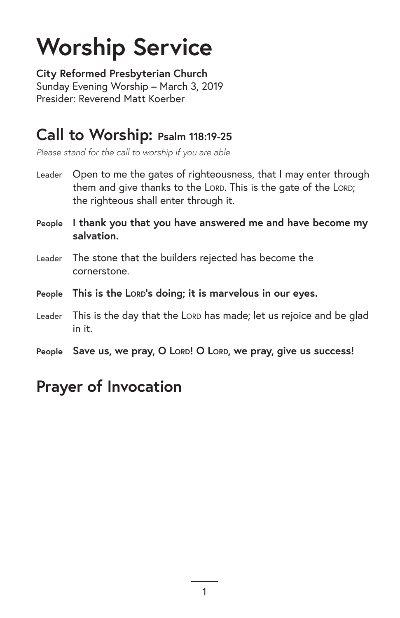# **Worship Service**

**City Reformed Presbyterian Church** Sunday Evening Worship – March 3, 2019 Presider: Reverend Matt Koerber

### **Call to Worship: Psalm 118:19-25**

*Please stand for the call to worship if you are able.*

- Leader Open to me the gates of righteousness, that I may enter through them and give thanks to the LORD. This is the gate of the LORD; the righteous shall enter through it.
- **People I thank you that you have answered me and have become my salvation.**
- Leader The stone that the builders rejected has become the cornerstone.
- **People This is the Lord's doing; it is marvelous in our eyes.**
- Leader This is the day that the Lorp has made; let us rejoice and be glad in it.
- **People Save us, we pray, O Lord! O Lord, we pray, give us success!**

### **Prayer of Invocation**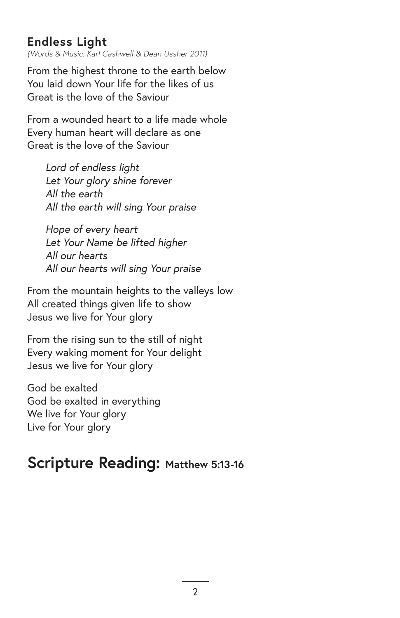#### **Endless Light**

*(Words & Music: Karl Cashwell & Dean Ussher 2011)*

From the highest throne to the earth below You laid down Your life for the likes of us Great is the love of the Saviour

From a wounded heart to a life made whole Every human heart will declare as one Great is the love of the Saviour

*Lord of endless light Let Your glory shine forever All the earth All the earth will sing Your praise*

*Hope of every heart Let Your Name be lifted higher All our hearts All our hearts will sing Your praise*

From the mountain heights to the valleys low All created things given life to show Jesus we live for Your glory

From the rising sun to the still of night Every waking moment for Your delight Jesus we live for Your glory

God be exalted God be exalted in everything We live for Your glory Live for Your glory

## **Scripture Reading: Matthew 5:13-16**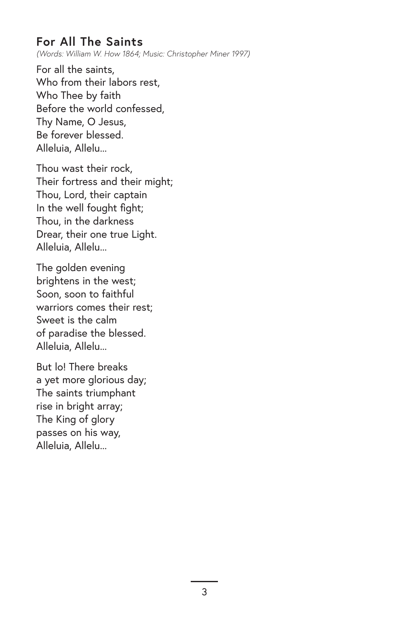#### **For All The Saints**

*(Words: William W. How 1864; Music: Christopher Miner 1997)*

For all the saints, Who from their labors rest, Who Thee by faith Before the world confessed, Thy Name, O Jesus, Be forever blessed. Alleluia, Allelu...

Thou wast their rock, Their fortress and their might; Thou, Lord, their captain In the well fought fight; Thou, in the darkness Drear, their one true Light. Alleluia, Allelu...

The golden evening brightens in the west; Soon, soon to faithful warriors comes their rest; Sweet is the calm of paradise the blessed. Alleluia, Allelu...

But lo! There breaks a yet more glorious day; The saints triumphant rise in bright array; The King of glory passes on his way, Alleluia, Allelu...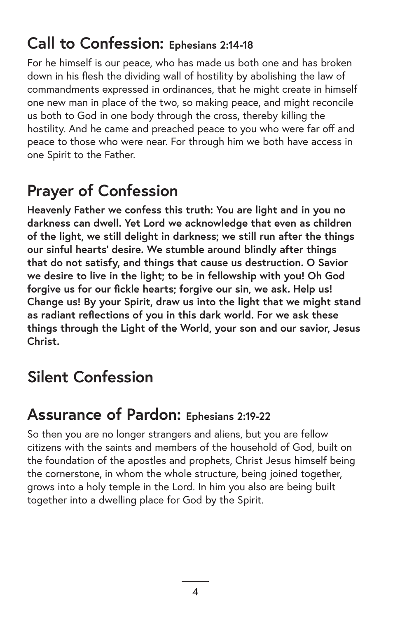### **Call to Confession: Ephesians 2:14-18**

For he himself is our peace, who has made us both one and has broken down in his flesh the dividing wall of hostility by abolishing the law of commandments expressed in ordinances, that he might create in himself one new man in place of the two, so making peace, and might reconcile us both to God in one body through the cross, thereby killing the hostility. And he came and preached peace to you who were far off and peace to those who were near. For through him we both have access in one Spirit to the Father.

## **Prayer of Confession**

**Heavenly Father we confess this truth: You are light and in you no darkness can dwell. Yet Lord we acknowledge that even as children of the light, we still delight in darkness; we still run after the things our sinful hearts' desire. We stumble around blindly after things that do not satisfy, and things that cause us destruction. O Savior we desire to live in the light; to be in fellowship with you! Oh God forgive us for our fickle hearts; forgive our sin, we ask. Help us! Change us! By your Spirit, draw us into the light that we might stand as radiant reflections of you in this dark world. For we ask these things through the Light of the World, your son and our savior, Jesus Christ.** 

## **Silent Confession**

#### **Assurance of Pardon: Ephesians 2:19-22**

So then you are no longer strangers and aliens, but you are fellow citizens with the saints and members of the household of God, built on the foundation of the apostles and prophets, Christ Jesus himself being the cornerstone, in whom the whole structure, being joined together, grows into a holy temple in the Lord. In him you also are being built together into a dwelling place for God by the Spirit.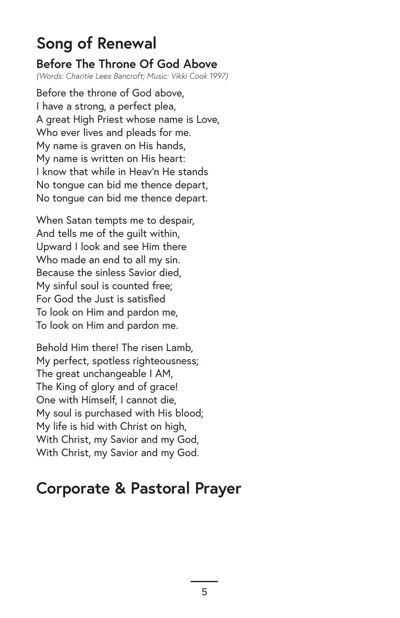## **Song of Renewal**

#### **Before The Throne Of God Above**

*(Words: Charitie Lees Bancroft; Music: Vikki Cook 1997)*

Before the throne of God above, I have a strong, a perfect plea, A great High Priest whose name is Love, Who ever lives and pleads for me. My name is graven on His hands, My name is written on His heart: I know that while in Heav'n He stands No tongue can bid me thence depart, No tongue can bid me thence depart.

When Satan tempts me to despair, And tells me of the guilt within, Upward I look and see Him there Who made an end to all my sin. Because the sinless Savior died, My sinful soul is counted free; For God the Just is satisfied To look on Him and pardon me, To look on Him and pardon me.

Behold Him there! The risen Lamb, My perfect, spotless righteousness; The great unchangeable I AM, The King of glory and of grace! One with Himself, I cannot die, My soul is purchased with His blood; My life is hid with Christ on high, With Christ, my Savior and my God, With Christ, my Savior and my God.

### **Corporate & Pastoral Prayer**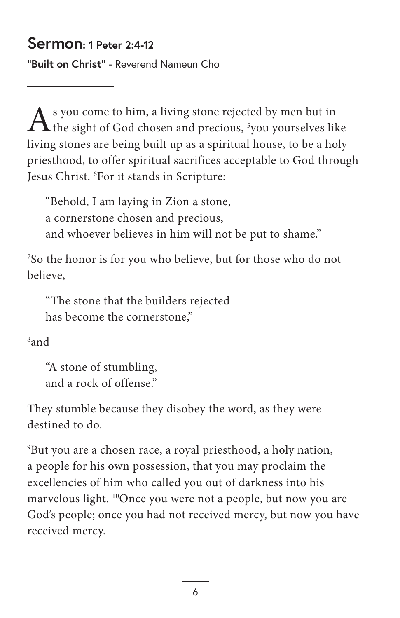#### **Sermon: 1 Peter 2:4-12**

**"Built on Christ"** - Reverend Nameun Cho

s you come to him, a living stone rejected by men but in the sight of God chosen and precious, <sup>5</sup>you yourselves like living stones are being built up as a spiritual house, to be a holy priesthood, to offer spiritual sacrifices acceptable to God through Jesus Christ. <sup>6</sup>For it stands in Scripture:

"Behold, I am laying in Zion a stone, a cornerstone chosen and precious, and whoever believes in him will not be put to shame."

7 So the honor is for you who believe, but for those who do not believe,

"The stone that the builders rejected has become the cornerstone,"

8 and

"A stone of stumbling, and a rock of offense."

They stumble because they disobey the word, as they were destined to do.

9 But you are a chosen race, a royal priesthood, a holy nation, a people for his own possession, that you may proclaim the excellencies of him who called you out of darkness into his marvelous light. <sup>10</sup>Once you were not a people, but now you are God's people; once you had not received mercy, but now you have received mercy.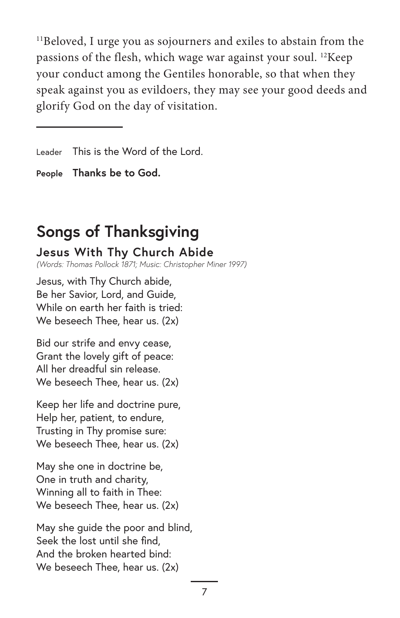11 Beloved, I urge you as sojourners and exiles to abstain from the passions of the flesh, which wage war against your soul. 12Keep your conduct among the Gentiles honorable, so that when they speak against you as evildoers, they may see your good deeds and glorify God on the day of visitation.

Leader This is the Word of the Lord.

**People Thanks be to God.**

## **Songs of Thanksgiving**

#### **Jesus With Thy Church Abide**

*(Words: Thomas Pollock 1871; Music: Christopher Miner 1997)*

Jesus, with Thy Church abide, Be her Savior, Lord, and Guide, While on earth her faith is tried: We beseech Thee, hear us. (2x)

Bid our strife and envy cease, Grant the lovely gift of peace: All her dreadful sin release. We beseech Thee, hear us. (2x)

Keep her life and doctrine pure, Help her, patient, to endure, Trusting in Thy promise sure: We beseech Thee, hear us. (2x)

May she one in doctrine be, One in truth and charity, Winning all to faith in Thee: We beseech Thee, hear us. (2x)

May she guide the poor and blind, Seek the lost until she find, And the broken hearted bind: We beseech Thee, hear us. (2x)